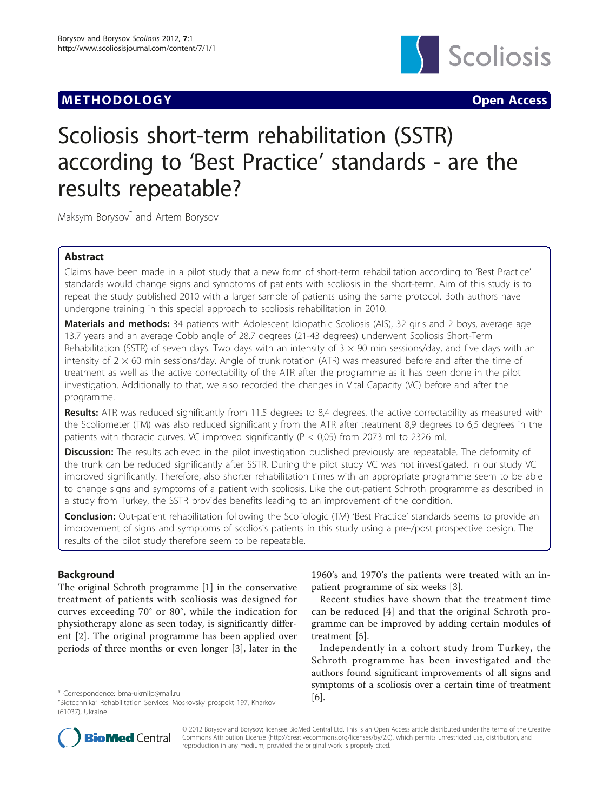# **METHODOLOGY Open Access**



# Scoliosis short-term rehabilitation (SSTR) according to 'Best Practice' standards - are the results repeatable?

Maksym Borysov<sup>\*</sup> and Artem Borysov

# Abstract

Claims have been made in a pilot study that a new form of short-term rehabilitation according to 'Best Practice' standards would change signs and symptoms of patients with scoliosis in the short-term. Aim of this study is to repeat the study published 2010 with a larger sample of patients using the same protocol. Both authors have undergone training in this special approach to scoliosis rehabilitation in 2010.

Materials and methods: 34 patients with Adolescent Idiopathic Scoliosis (AIS), 32 girls and 2 boys, average age 13.7 years and an average Cobb angle of 28.7 degrees (21-43 degrees) underwent Scoliosis Short-Term Rehabilitation (SSTR) of seven days. Two days with an intensity of  $3 \times 90$  min sessions/day, and five days with an intensity of  $2 \times 60$  min sessions/day. Angle of trunk rotation (ATR) was measured before and after the time of treatment as well as the active correctability of the ATR after the programme as it has been done in the pilot investigation. Additionally to that, we also recorded the changes in Vital Capacity (VC) before and after the programme.

Results: ATR was reduced significantly from 11,5 degrees to 8,4 degrees, the active correctability as measured with the Scoliometer (TM) was also reduced significantly from the ATR after treatment 8,9 degrees to 6,5 degrees in the patients with thoracic curves. VC improved significantly (P < 0,05) from 2073 ml to 2326 ml.

Discussion: The results achieved in the pilot investigation published previously are repeatable. The deformity of the trunk can be reduced significantly after SSTR. During the pilot study VC was not investigated. In our study VC improved significantly. Therefore, also shorter rehabilitation times with an appropriate programme seem to be able to change signs and symptoms of a patient with scoliosis. Like the out-patient Schroth programme as described in a study from Turkey, the SSTR provides benefits leading to an improvement of the condition.

Conclusion: Out-patient rehabilitation following the Scoliologic (TM) 'Best Practice' standards seems to provide an improvement of signs and symptoms of scoliosis patients in this study using a pre-/post prospective design. The results of the pilot study therefore seem to be repeatable.

# Background

The original Schroth programme [[1\]](#page-3-0) in the conservative treatment of patients with scoliosis was designed for curves exceeding 70° or 80°, while the indication for physiotherapy alone as seen today, is significantly different [[2\]](#page-3-0). The original programme has been applied over periods of three months or even longer [[3\]](#page-3-0), later in the

[[6\]](#page-3-0). \* Correspondence: [bma-ukrniip@mail.ru](mailto:bma-ukrniip@mail.ru)

1960's and 1970's the patients were treated with an inpatient programme of six weeks [[3\]](#page-3-0).

Recent studies have shown that the treatment time can be reduced [[4\]](#page-3-0) and that the original Schroth programme can be improved by adding certain modules of treatment [[5\]](#page-3-0).

Independently in a cohort study from Turkey, the Schroth programme has been investigated and the authors found significant improvements of all signs and symptoms of a scoliosis over a certain time of treatment



© 2012 Borysov and Borysov; licensee BioMed Central Ltd. This is an Open Access article distributed under the terms of the Creative Commons Attribution License [\(http://creativecommons.org/licenses/by/2.0](http://creativecommons.org/licenses/by/2.0)), which permits unrestricted use, distribution, and reproduction in any medium, provided the original work is properly cited.

<sup>&</sup>quot;Biotechnika" Rehabilitation Services, Moskovsky prospekt 197, Kharkov (61037), Ukraine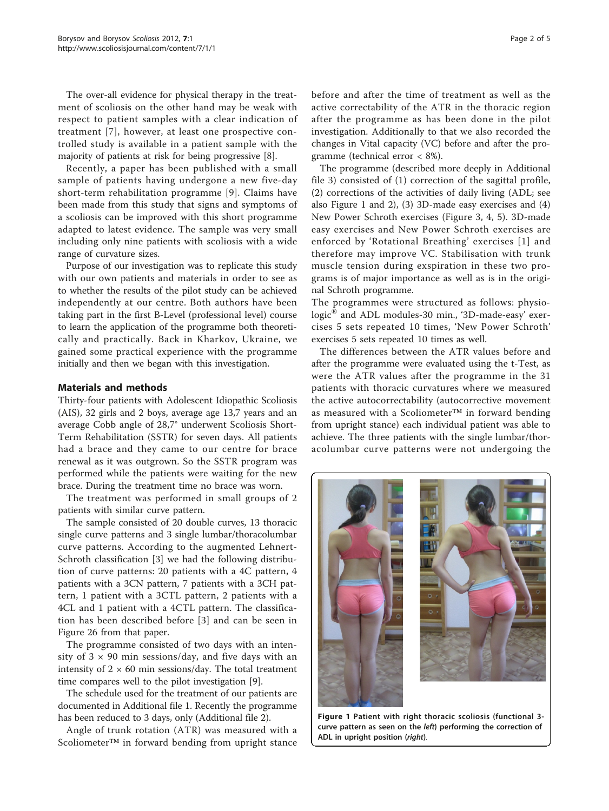The over-all evidence for physical therapy in the treatment of scoliosis on the other hand may be weak with respect to patient samples with a clear indication of treatment [\[7\]](#page-3-0), however, at least one prospective controlled study is available in a patient sample with the majority of patients at risk for being progressive [\[8\]](#page-3-0).

Recently, a paper has been published with a small sample of patients having undergone a new five-day short-term rehabilitation programme [[9](#page-4-0)]. Claims have been made from this study that signs and symptoms of a scoliosis can be improved with this short programme adapted to latest evidence. The sample was very small including only nine patients with scoliosis with a wide range of curvature sizes.

Purpose of our investigation was to replicate this study with our own patients and materials in order to see as to whether the results of the pilot study can be achieved independently at our centre. Both authors have been taking part in the first B-Level (professional level) course to learn the application of the programme both theoretically and practically. Back in Kharkov, Ukraine, we gained some practical experience with the programme initially and then we began with this investigation.

## Materials and methods

Thirty-four patients with Adolescent Idiopathic Scoliosis (AIS), 32 girls and 2 boys, average age 13,7 years and an average Cobb angle of 28,7° underwent Scoliosis Short-Term Rehabilitation (SSTR) for seven days. All patients had a brace and they came to our centre for brace renewal as it was outgrown. So the SSTR program was performed while the patients were waiting for the new brace. During the treatment time no brace was worn.

The treatment was performed in small groups of 2 patients with similar curve pattern.

The sample consisted of 20 double curves, 13 thoracic single curve patterns and 3 single lumbar/thoracolumbar curve patterns. According to the augmented Lehnert-Schroth classification [[3](#page-3-0)] we had the following distribution of curve patterns: 20 patients with a 4C pattern, 4 patients with a 3CN pattern, 7 patients with a 3CH pattern, 1 patient with a 3CTL pattern, 2 patients with a 4CL and 1 patient with a 4CTL pattern. The classification has been described before [[3\]](#page-3-0) and can be seen in [Figure 26](http://www.scoliosisjournal.com/content/6/1/17/figure/F26) from that paper.

The programme consisted of two days with an intensity of  $3 \times 90$  min sessions/day, and five days with an intensity of  $2 \times 60$  min sessions/day. The total treatment time compares well to the pilot investigation [\[9\]](#page-4-0).

The schedule used for the treatment of our patients are documented in Additional file [1.](#page-3-0) Recently the programme has been reduced to 3 days, only (Additional file [2\)](#page-3-0).

Angle of trunk rotation (ATR) was measured with a Scoliometer™ in forward bending from upright stance

before and after the time of treatment as well as the active correctability of the ATR in the thoracic region after the programme as has been done in the pilot investigation. Additionally to that we also recorded the changes in Vital capacity (VC) before and after the programme (technical error < 8%).

The programme (described more deeply in Additional file [3\)](#page-3-0) consisted of (1) correction of the sagittal profile, (2) corrections of the activities of daily living (ADL; see also Figure 1 and [2\)](#page-2-0), (3) 3D-made easy exercises and (4) New Power Schroth exercises (Figure [3](#page-2-0), [4, 5](#page-2-0)). 3D-made easy exercises and New Power Schroth exercises are enforced by 'Rotational Breathing' exercises [[1](#page-3-0)] and therefore may improve VC. Stabilisation with trunk muscle tension during exspiration in these two programs is of major importance as well as is in the original Schroth programme.

The programmes were structured as follows: physiologic<sup>®</sup> and ADL modules-30 min., '3D-made-easy' exercises 5 sets repeated 10 times, 'New Power Schroth' exercises 5 sets repeated 10 times as well.

The differences between the ATR values before and after the programme were evaluated using the t-Test, as were the ATR values after the programme in the 31 patients with thoracic curvatures where we measured the active autocorrectability (autocorrective movement as measured with a Scoliometer™ in forward bending from upright stance) each individual patient was able to achieve. The three patients with the single lumbar/thoracolumbar curve patterns were not undergoing the

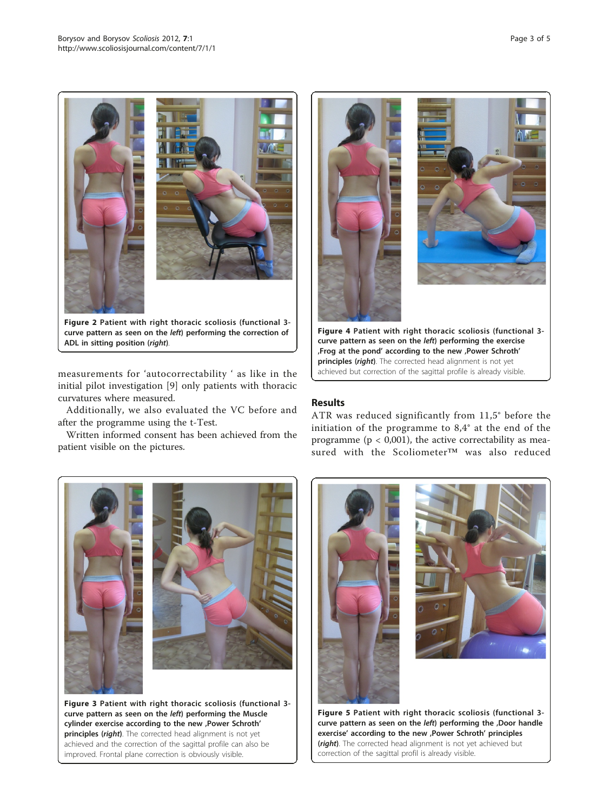<span id="page-2-0"></span>

measurements for 'autocorrectability ' as like in the initial pilot investigation [[9](#page-4-0)] only patients with thoracic curvatures where measured.

Additionally, we also evaluated the VC before and after the programme using the t-Test.

Written informed consent has been achieved from the patient visible on the pictures.



# Results

ATR was reduced significantly from 11,5° before the initiation of the programme to 8,4° at the end of the programme ( $p < 0.001$ ), the active correctability as measured with the Scoliometer™ was also reduced



Figure 3 Patient with right thoracic scoliosis (functional 3 curve pattern as seen on the left) performing the Muscle cylinder exercise according to the new , Power Schroth' principles (right). The corrected head alignment is not yet achieved and the correction of the sagittal profile can also be improved. Frontal plane correction is obviously visible.



(right). The corrected head alignment is not yet achieved but correction of the sagittal profil is already visible.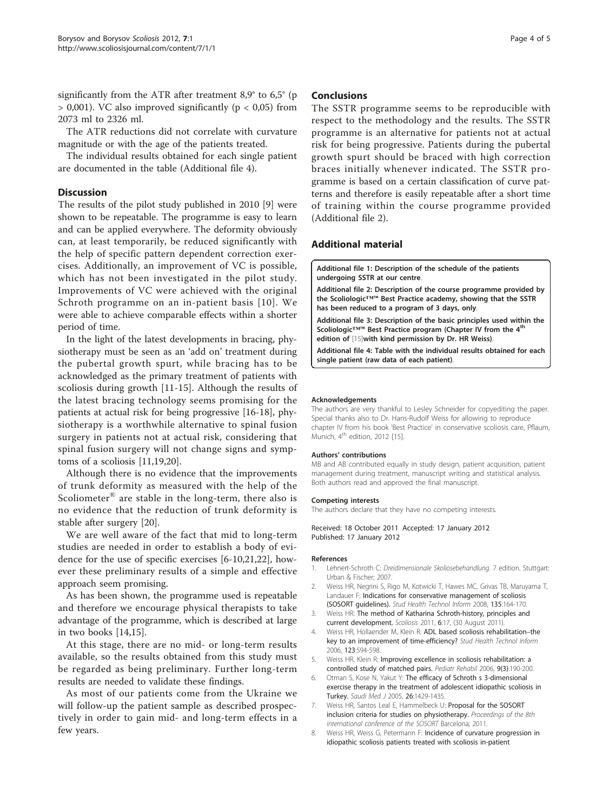<span id="page-3-0"></span>significantly from the ATR after treatment 8,9° to 6,5° (p  $> 0,001$ ). VC also improved significantly ( $p < 0,05$ ) from 2073 ml to 2326 ml.

The ATR reductions did not correlate with curvature magnitude or with the age of the patients treated.

The individual results obtained for each single patient are documented in the table (Additional file 4).

#### **Discussion**

The results of the pilot study published in 2010 [[9\]](#page-4-0) were shown to be repeatable. The programme is easy to learn and can be applied everywhere. The deformity obviously can, at least temporarily, be reduced significantly with the help of specific pattern dependent correction exercises. Additionally, an improvement of VC is possible, which has not been investigated in the pilot study. Improvements of VC were achieved with the original Schroth programme on an in-patient basis [[10](#page-4-0)]. We were able to achieve comparable effects within a shorter period of time.

In the light of the latest developments in bracing, physiotherapy must be seen as an 'add on' treatment during the pubertal growth spurt, while bracing has to be acknowledged as the primary treatment of patients with scoliosis during growth [[11-15](#page-4-0)]. Although the results of the latest bracing technology seems promising for the patients at actual risk for being progressive [\[16](#page-4-0)-[18\]](#page-4-0), physiotherapy is a worthwhile alternative to spinal fusion surgery in patients not at actual risk, considering that spinal fusion surgery will not change signs and symptoms of a scoliosis [[11,19](#page-4-0),[20](#page-4-0)].

Although there is no evidence that the improvements of trunk deformity as measured with the help of the Scoliometer® are stable in the long-term, there also is no evidence that the reduction of trunk deformity is stable after surgery [\[20\]](#page-4-0).

We are well aware of the fact that mid to long-term studies are needed in order to establish a body of evidence for the use of specific exercises [6[-10,21,22](#page-4-0)], however these preliminary results of a simple and effective approach seem promising.

As has been shown, the programme used is repeatable and therefore we encourage physical therapists to take advantage of the programme, which is described at large in two books [[14,15](#page-4-0)].

At this stage, there are no mid- or long-term results available, so the results obtained from this study must be regarded as being preliminary. Further long-term results are needed to validate these findings.

As most of our patients come from the Ukraine we will follow-up the patient sample as described prospectively in order to gain mid- and long-term effects in a few years.

#### Conclusions

The SSTR programme seems to be reproducible with respect to the methodology and the results. The SSTR programme is an alternative for patients not at actual risk for being progressive. Patients during the pubertal growth spurt should be braced with high correction braces initially whenever indicated. The SSTR programme is based on a certain classification of curve patterns and therefore is easily repeatable after a short time of training within the course programme provided (Additional file 2).

### Additional material

[Additional file 1: D](http://www.biomedcentral.com/content/supplementary/1748-7161-7-1-S1.PDF)escription of the schedule of the patients undergoing SSTR at our centre.

[Additional file 2: D](http://www.biomedcentral.com/content/supplementary/1748-7161-7-1-S2.PDF)escription of the course programme provided by the Scoliologic™™ Best Practice academy, showing that the SSTR has been reduced to a program of 3 days, only.

[Additional file 3: D](http://www.biomedcentral.com/content/supplementary/1748-7161-7-1-S3.PDF)escription of the basic principles used within the Scoliologic™™ Best Practice program (Chapter IV from the 4<sup>th</sup> edition of [\[15](#page-4-0)]with kind permission by Dr. HR Weiss).

[Additional file 4: T](http://www.biomedcentral.com/content/supplementary/1748-7161-7-1-S4.PDF)able with the individual results obtained for each single patient (raw data of each patient).

#### Acknowledgements

The authors are very thankful to Lesley Schneider for copyediting the paper. Special thanks also to Dr. Hans-Rudolf Weiss for allowing to reproduce chapter IV from his book 'Best Practice' in conservative scoliosis care, Pflaum, Munich, 4<sup>th</sup> edition, 2012 [\[15](#page-4-0)].

#### Authors' contributions

MB and AB contributed equally in study design, patient acquisition, patient management during treatment, manuscript writing and statistical analysis. Both authors read and approved the final manuscript.

#### Competing interests

The authors declare that they have no competing interests.

Received: 18 October 2011 Accepted: 17 January 2012 Published: 17 January 2012

#### References

- 1. Lehnert-Schroth C: Dreidimensionale Skoliosebehandlung. 7 edition. Stuttgart: Urban & Fischer; 2007.
- 2. Weiss HR, Negrini S, Rigo M, Kotwicki T, Hawes MC, Grivas TB, Maruyama T, Landauer F: Indications for conservative management of scoliosis (SOSORT guidelines). Stud Health Technol Inform 2008, 135:164-170.
- 3. Weiss HR: [The method of Katharina Schroth-history, principles and](http://www.ncbi.nlm.nih.gov/pubmed/21878114?dopt=Abstract) [current development.](http://www.ncbi.nlm.nih.gov/pubmed/21878114?dopt=Abstract) Scoliosis 2011, 6:17, (30 August 2011).
- 4. Weiss HR, Hollaender M, Klein R: [ADL based scoliosis rehabilitation](http://www.ncbi.nlm.nih.gov/pubmed/17108494?dopt=Abstract)–the [key to an improvement of time-efficiency?](http://www.ncbi.nlm.nih.gov/pubmed/17108494?dopt=Abstract) Stud Health Technol Inform 2006, 123:594-598.
- 5. Weiss HR, Klein R: Improving excellence in scoliosis rehabilitation: a controlled study of matched pairs. Pediatr Rehabil 2006, 9(3):190-200.
- 6. Otman S, Kose N, Yakut Y: [The efficacy of Schroth s 3-dimensional](http://www.ncbi.nlm.nih.gov/pubmed/16155663?dopt=Abstract) [exercise therapy in the treatment of adolescent idiopathic scoliosis in](http://www.ncbi.nlm.nih.gov/pubmed/16155663?dopt=Abstract) [Turkey.](http://www.ncbi.nlm.nih.gov/pubmed/16155663?dopt=Abstract) Saudi Med J 2005, 26:1429-1435.
- 7. Weiss HR, Santos Leal E, Hammelbeck U: Proposal for the SOSORT inclusion criteria for studies on physiotherapy. Proceedings of the 8th international conference of the SOSORT Barcelona; 2011.
- 8. Weiss HR, Weiss G, Petermann F: Incidence of curvature progression in idiopathic scoliosis patients treated with scoliosis in-patient